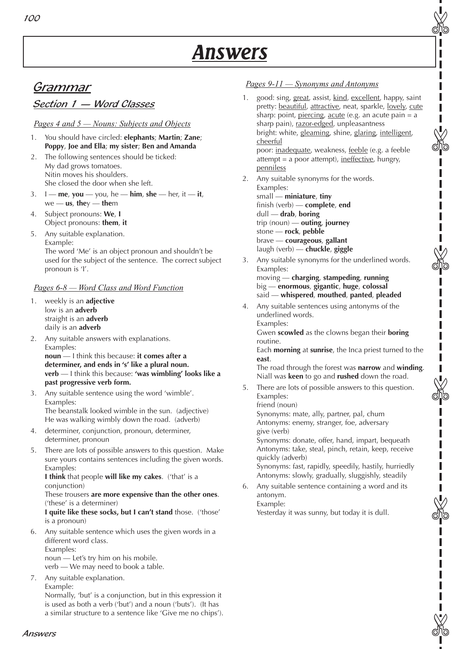# Grammar

### Section 1 — Word Classes

### *Pages 4 and 5 — Nouns: Subjects and Objects*

- 1. You should have circled: **elephants**; **Martin**; **Zane**; **Poppy**, **Joe and Ella**; **my sister**; **Ben and Amanda**
- 2. The following sentences should be ticked: My dad grows tomatoes. Nitin moves his shoulders. She closed the door when she left.
- 3.  $I me$ , **you** you, he **him**, **she** her, it **it**, we — **us**, **the**y — **the**m
- 4. Subject pronouns: **We**, **I** Object pronouns: **them**, **it**
- 5. Any suitable explanation. Example:

The word 'Me' is an object pronoun and shouldn't be used for the subject of the sentence. The correct subject pronoun is 'I'.

### *Pages 6-8 — Word Class and Word Function*

- 1. weekly is an **adjective** low is an **adverb** straight is an **adverb** daily is an **adverb**
- 2. Any suitable answers with explanations. Examples: **noun** — I think this because: **it comes after a determiner, and ends in 's' like a plural noun. verb** — I think this because: **'was wimbling' looks like a past progressive verb form.**
- 3. Any suitable sentence using the word 'wimble'. Examples: The beanstalk looked wimble in the sun. (adjective)

He was walking wimbly down the road. (adverb)

- 4. determiner, conjunction, pronoun, determiner, determiner, pronoun
- 5. There are lots of possible answers to this question. Make sure yours contains sentences including the given words. Examples:

**I think** that people **will like my cakes**. ('that' is a conjunction)

#### These trousers **are more expensive than the other ones**. ('these' is a determiner)

**I quite like these socks, but I can't stand** those. ('those' is a pronoun)

6. Any suitable sentence which uses the given words in a different word class. Examples: noun — Let's try him on his mobile.

verb — We may need to book a table.

7. Any suitable explanation. Example:

Normally, 'but' is a conjunction, but in this expression it is used as both a verb ('but') and a noun ('buts'). (It has a similar structure to a sentence like 'Give me no chips').

### *Pages 9-11 — Synonyms and Antonyms*

good: sing, great, assist, kind, excellent, happy, saint pretty: beautiful, attractive, neat, sparkle, lovely, cute sharp: point, piercing,  $acute$  (e.g. an acute pain = a sharp pain), razor-edged, unpleasantness bright: white, gleaming, shine, glaring, intelligent, cheerful poor: inadequate, weakness, feeble (e.g. a feeble attempt = a poor attempt), ineffective, hungry, penniless

✄

✄

✄

✄

✄

П I

✄

2. Any suitable synonyms for the words.

Examples: small — **miniature**, **tiny** finish (verb) — **complete**, **end** dull — **drab**, **boring** trip (noun) — **outing**, **journey** stone — **rock**, **pebble** brave — **courageous**, **gallant** laugh (verb) — **chuckle**, **giggle**

3. Any suitable synonyms for the underlined words. Examples: moving — **charging**, **stampeding**, **running**

big — **enormous**, **gigantic**, **huge**, **colossal** said — **whispered**, **mouthed**, **panted**, **pleaded**

4. Any suitable sentences using antonyms of the underlined words. Examples: Gwen **scowled** as the clowns began their **boring**

routine.

Each **morning** at **sunrise**, the Inca priest turned to the **east**.

The road through the forest was **narrow** and **winding**. Niall was **keen** to go and **rushed** down the road.

5. There are lots of possible answers to this question. Examples: friend (noun) Synonyms: mate, ally, partner, pal, chum Antonyms: enemy, stranger, foe, adversary give (verb)

Synonyms: donate, offer, hand, impart, bequeath Antonyms: take, steal, pinch, retain, keep, receive quickly (adverb)

Synonyms: fast, rapidly, speedily, hastily, hurriedly Antonyms: slowly, gradually, sluggishly, steadily

6. Any suitable sentence containing a word and its antonym. Example:

Yesterday it was sunny, but today it is dull.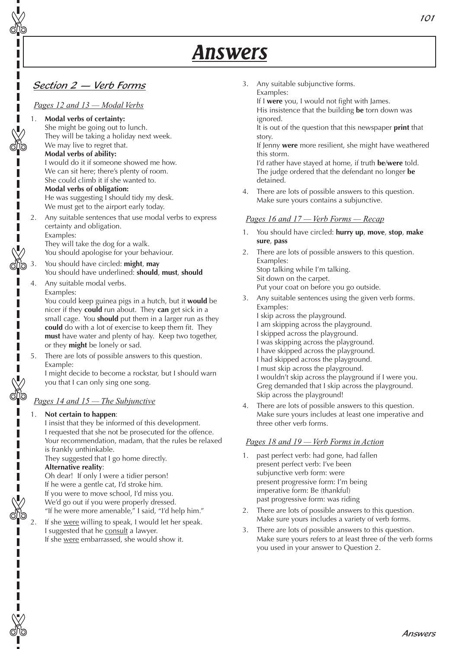### Section 2 — Verb Forms

#### *Pages 12 and 13 — Modal Verbs*

✄

I

✄

✄

Π T

✄

П  $\mathbb{I}$  $\overline{\phantom{a}}$ 

 $\overline{\phantom{a}}$ 

П  $\mathbf{r}$ 

✄

I

✄

- 1. **Modal verbs of certainty:** She might be going out to lunch. They will be taking a holiday next week. We may live to regret that. **Modal verbs of ability:** I would do it if someone showed me how. We can sit here; there's plenty of room. She could climb it if she wanted to. **Modal verbs of obligation:** He was suggesting I should tidy my desk. We must get to the airport early today.
- 2. Any suitable sentences that use modal verbs to express certainty and obligation. Examples:
	- They will take the dog for a walk.
	- You should apologise for your behaviour.
- 3. You should have circled: **might**, **may** You should have underlined: **should**, **must**, **should**
- 4. Any suitable modal verbs. Examples: You could keep guinea pigs in a hutch, but it **would** be nicer if they **could** run about. They **can** get sick in a small cage. You **should** put them in a larger run as they **could** do with a lot of exercise to keep them fit. They
	- **must** have water and plenty of hay. Keep two together, or they **might** be lonely or sad.
- 5. There are lots of possible answers to this question. Example:

I might decide to become a rockstar, but I should warn you that I can only sing one song.

### *Pages 14 and 15 — The Subjunctive*

1. **Not certain to happen**:

I insist that they be informed of this development. I requested that she not be prosecuted for the offence. Your recommendation, madam, that the rules be relaxed is frankly unthinkable.

They suggested that I go home directly.

### **Alternative reality**:

Oh dear! If only I were a tidier person! If he were a gentle cat, I'd stroke him. If you were to move school, I'd miss you. We'd go out if you were properly dressed. "If he were more amenable," I said, "I'd help him."

If she were willing to speak, I would let her speak. I suggested that he consult a lawyer. If she were embarrassed, she would show it.

3. Any suitable subjunctive forms. Examples:

> If I **were** you, I would not fight with James. His insistence that the building **be** torn down was ignored.

It is out of the question that this newspaper **print** that story.

If Jenny **were** more resilient, she might have weathered this storm.

I'd rather have stayed at home, if truth **be**/**were** told. The judge ordered that the defendant no longer **be** detained.

4. There are lots of possible answers to this question. Make sure yours contains a subjunctive.

### *Pages 16 and 17 — Verb Forms — Recap*

- 1. You should have circled: **hurry up**, **move**, **stop**, **make sure**, **pass**
- 2. There are lots of possible answers to this question. Examples: Stop talking while I'm talking. Sit down on the carpet. Put your coat on before you go outside.
- 3. Any suitable sentences using the given verb forms. Examples:
	- I skip across the playground. I am skipping across the playground. I skipped across the playground. I was skipping across the playground. I have skipped across the playground. I had skipped across the playground. I must skip across the playground. I wouldn't skip across the playground if I were you. Greg demanded that I skip across the playground. Skip across the playground!
- 4. There are lots of possible answers to this question. Make sure yours includes at least one imperative and three other verb forms.

### *Pages 18 and 19 — Verb Forms in Action*

- 1. past perfect verb: had gone, had fallen present perfect verb: I've been subjunctive verb form: were present progressive form: I'm being imperative form: Be (thankful) past progressive form: was riding
- 2. There are lots of possible answers to this question. Make sure yours includes a variety of verb forms.
- 3. There are lots of possible answers to this question. Make sure yours refers to at least three of the verb forms you used in your answer to Question 2.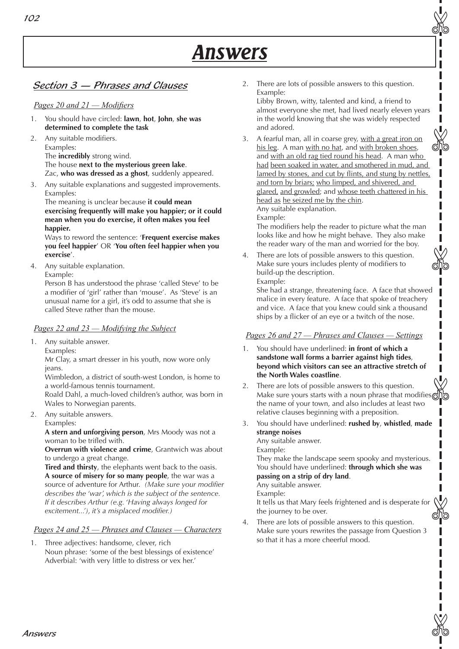### Section 3 — Phrases and Clauses

*Pages 20 and 21 — Modifiers*

- 1. You should have circled: **lawn**, **hot**, **John**, **she was determined to complete the task**
- 2. Any suitable modifiers. Examples: The **incredibly** strong wind. The house **next to the mysterious green lake**. Zac, **who was dressed as a ghost**, suddenly appeared.
- 3. Any suitable explanations and suggested improvements. Examples:

The meaning is unclear because **it could mean exercising frequently will make you happier; or it could mean when you do exercise, it often makes you feel happier.**

Ways to reword the sentence: '**Frequent exercise makes you feel happier**' OR '**You often feel happier when you exercise**'.

4. Any suitable explanation. Example:

Person B has understood the phrase 'called Steve' to be a modifier of 'girl' rather than 'mouse'. As 'Steve' is an unusual name for a girl, it's odd to assume that she is called Steve rather than the mouse.

### *Pages 22 and 23 — Modifying the Subject*

1. Any suitable answer.

Examples:

Mr Clay, a smart dresser in his youth, now wore only jeans.

Wimbledon, a district of south-west London, is home to a world-famous tennis tournament.

Roald Dahl, a much-loved children's author, was born in Wales to Norwegian parents.

2. Any suitable answers.

Examples: **A stern and unforgiving person**, Mrs Moody was not a woman to be trifled with.

**Overrun with violence and crime**, Grantwich was about to undergo a great change.

**Tired and thirsty**, the elephants went back to the oasis. **A source of misery for so many people**, the war was a source of adventure for Arthur. *(Make sure your modifier describes the 'war', which is the subject of the sentence. If it describes Arthur (e.g. 'Having always longed for excitement...'), it's a misplaced modifier.)*

*Pages 24 and 25 — Phrases and Clauses — Characters*

1. Three adjectives: handsome, clever, rich Noun phrase: 'some of the best blessings of existence' Adverbial: 'with very little to distress or vex her.'

2. There are lots of possible answers to this question. Example:

Libby Brown, witty, talented and kind, a friend to almost everyone she met, had lived nearly eleven years in the world knowing that she was widely respected and adored. ✄

3. A fearful man, all in coarse grey, with a great iron on his leg. A man with no hat, and with broken shoes, and with an old rag tied round his head. A man who had been soaked in water, and smothered in mud, and lamed by stones, and cut by flints, and stung by nettles, and torn by briars; who limped, and shivered, and glared, and growled; and whose teeth chattered in his head as he seized me by the chin. Any suitable explanation.

Example:

The modifiers help the reader to picture what the man looks like and how he might behave. They also make the reader wary of the man and worried for the boy.

✄

✄

✄

4. There are lots of possible answers to this question. Make sure yours includes plenty of modifiers to build-up the description. Example:

She had a strange, threatening face. A face that showed malice in every feature. A face that spoke of treachery and vice. A face that you knew could sink a thousand ships by a flicker of an eye or a twitch of the nose.

### *Pages 26 and 27 — Phrases and Clauses — Settings*

- 1. You should have underlined: **in front of which a sandstone wall forms a barrier against high tides**, **beyond which visitors can see an attractive stretch of the North Wales coastline**.
- 2. There are lots of possible answers to this question. Make sure yours starts with a noun phrase that modifies the name of your town, and also includes at least two relative clauses beginning with a preposition. ✄
- 3. You should have underlined: **rushed by**, **whistled**, **made strange noises**

Any suitable answer. Example: They make the landscape seem spooky and mysterious. You should have underlined: **through which she was passing on a strip of dry land**.

Any suitable answer.

Example:

It tells us that Mary feels frightened and is desperate for the journey to be over. ✄

4. There are lots of possible answers to this question. Make sure yours rewrites the passage from Question 3 so that it has a more cheerful mood.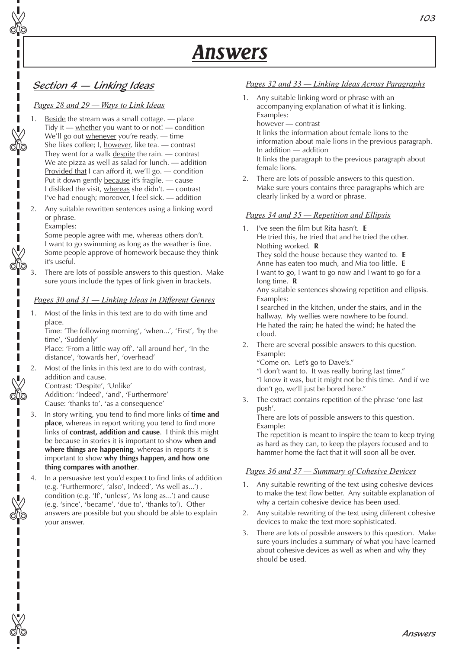### <u>Section 4 — Linking Ideas</u>

### *Pages 28 and 29 — Ways to Link Ideas*

✄

✄

✄

✄

✄

П  $\mathbf{I}$ 

✄

- Beside the stream was a small cottage.  $-$  place Tidy it — whether you want to or not! — condition We'll go out whenever you're ready. - time She likes coffee; I, however, like tea. — contrast They went for a walk despite the rain. - contrast We ate pizza as well as salad for lunch. - addition Provided that I can afford it, we'll go. — condition Put it down gently because it's fragile. — cause I disliked the visit, whereas she didn't. — contrast I've had enough; moreover, I feel sick. — addition
- 2. Any suitable rewritten sentences using a linking word or phrase.

Examples: Some people agree with me, whereas others don't. I want to go swimming as long as the weather is fine. Some people approve of homework because they think it's useful.

There are lots of possible answers to this question. Make sure yours include the types of link given in brackets.

### *Pages 30 and 31 — Linking Ideas in Different Genres*

1. Most of the links in this text are to do with time and place.

Time: 'The following morning', 'when...', 'First', 'by the time', 'Suddenly'

Place: 'From a little way off', 'all around her', 'In the distance', 'towards her', 'overhead'

2. Most of the links in this text are to do with contrast, addition and cause. Contrast: 'Despite', 'Unlike'

Addition: 'Indeed', 'and', 'Furthermore' Cause: 'thanks to', 'as a consequence'

- 3. In story writing, you tend to find more links of **time and place**, whereas in report writing you tend to find more links of **contrast, addition and cause**. I think this might be because in stories it is important to show **when and where things are happening**, whereas in reports it is important to show **why things happen, and how one thing compares with another**.
- 4. In a persuasive text you'd expect to find links of addition (e.g. 'Furthermore', 'also', Indeed', 'As well as...') , condition (e.g. 'If', 'unless', 'As long as...') and cause (e.g. 'since', 'became', 'due to', 'thanks to'). Other answers are possible but you should be able to explain your answer.

### *Pages 32 and 33 — Linking Ideas Across Paragraphs*

1. Any suitable linking word or phrase with an accompanying explanation of what it is linking. Examples: however — contrast

It links the information about female lions to the information about male lions in the previous paragraph. In addition — addition It links the paragraph to the previous paragraph about female lions.

2. There are lots of possible answers to this question. Make sure yours contains three paragraphs which are clearly linked by a word or phrase.

### *Pages 34 and 35 — Repetition and Ellipsis*

1. I've seen the film but Rita hasn't. **E** He tried this, he tried that and he tried the other. Nothing worked. **R** They sold the house because they wanted to. **E** Anne has eaten too much, and Mia too little. **E** I want to go, I want to go now and I want to go for a long time. **R** Any suitable sentences showing repetition and ellipsis. Examples: I searched in the kitchen, under the stairs, and in the hallway. My wellies were nowhere to be found.

He hated the rain; he hated the wind; he hated the cloud.

2. There are several possible answers to this question. Example:

"Come on. Let's go to Dave's." "I don't want to. It was really boring last time." "I know it was, but it might not be this time. And if we don't go, we'll just be bored here."

3. The extract contains repetition of the phrase 'one last push'.

There are lots of possible answers to this question. Example:

The repetition is meant to inspire the team to keep trying as hard as they can, to keep the players focused and to hammer home the fact that it will soon all be over.

### *Pages 36 and 37 — Summary of Cohesive Devices*

- 1. Any suitable rewriting of the text using cohesive devices to make the text flow better. Any suitable explanation of why a certain cohesive device has been used.
- 2. Any suitable rewriting of the text using different cohesive devices to make the text more sophisticated.
- 3. There are lots of possible answers to this question. Make sure yours includes a summary of what you have learned about cohesive devices as well as when and why they should be used.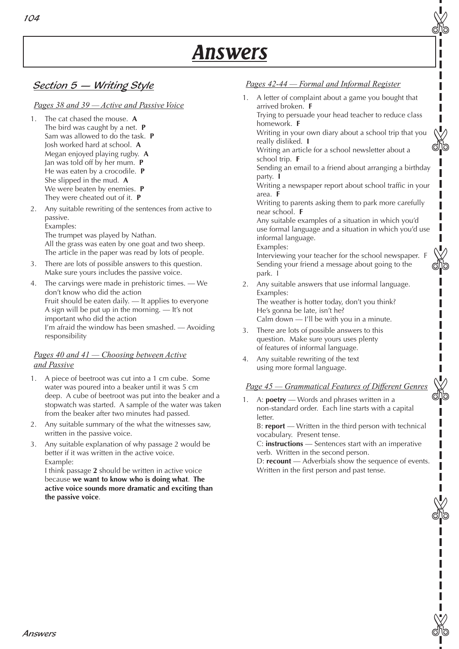### Section 5 — Writing Style

### *Pages 38 and 39 — Active and Passive Voice*

- 1. The cat chased the mouse. **A** The bird was caught by a net. **P** Sam was allowed to do the task. **P** Josh worked hard at school. **A** Megan enjoyed playing rugby. **A** Jan was told off by her mum. **P** He was eaten by a crocodile. **P** She slipped in the mud. **A** We were beaten by enemies. **P** They were cheated out of it. **P**
- 2. Any suitable rewriting of the sentences from active to passive. Examples:

The trumpet was played by Nathan. All the grass was eaten by one goat and two sheep. The article in the paper was read by lots of people.

- 3. There are lots of possible answers to this question. Make sure yours includes the passive voice.
- 4. The carvings were made in prehistoric times. We don't know who did the action Fruit should be eaten daily. — It applies to everyone A sign will be put up in the morning. — It's not important who did the action I'm afraid the window has been smashed. — Avoiding responsibility

### *Pages 40 and 41 — Choosing between Active and Passive*

- 1. A piece of beetroot was cut into a 1 cm cube. Some water was poured into a beaker until it was 5 cm deep. A cube of beetroot was put into the beaker and a stopwatch was started. A sample of the water was taken from the beaker after two minutes had passed.
- 2. Any suitable summary of the what the witnesses saw, written in the passive voice.
- 3. Any suitable explanation of why passage 2 would be better if it was written in the active voice. Example:

I think passage **2** should be written in active voice because **we want to know who is doing what**. **The active voice sounds more dramatic and exciting than the passive voice**.

### *Pages 42-44 — Formal and Informal Register*

- 1. A letter of complaint about a game you bought that arrived broken. **F**
	- Trying to persuade your head teacher to reduce class homework. **F**

Writing in your own diary about a school trip that you really disliked. **I**

✄

✄

✄

✄

✄

 $\overline{\phantom{a}}$ 

✄

Writing an article for a school newsletter about a school trip. **F**

- Sending an email to a friend about arranging a birthday party. **I**
- Writing a newspaper report about school traffic in your area. **F**

Writing to parents asking them to park more carefully near school. **F**

Any suitable examples of a situation in which you'd use formal language and a situation in which you'd use informal language.

Examples:

Interviewing your teacher for the school newspaper. F Sending your friend a message about going to the park. I

2. Any suitable answers that use informal language. Examples: The weather is hotter today, don't you think? He's gonna be late, isn't he?

Calm down — I'll be with you in a minute.

- 3. There are lots of possible answers to this question. Make sure yours uses plenty of features of informal language.
- 4. Any suitable rewriting of the text using more formal language.

### *Page 45 — Grammatical Features of Different Genres*

1. A: **poetry** — Words and phrases written in a non-standard order. Each line starts with a capital letter. B: **report** — Written in the third person with technical vocabulary. Present tense. C: **instructions** — Sentences start with an imperative verb. Written in the second person.

D: **recount** — Adverbials show the sequence of events. Written in the first person and past tense.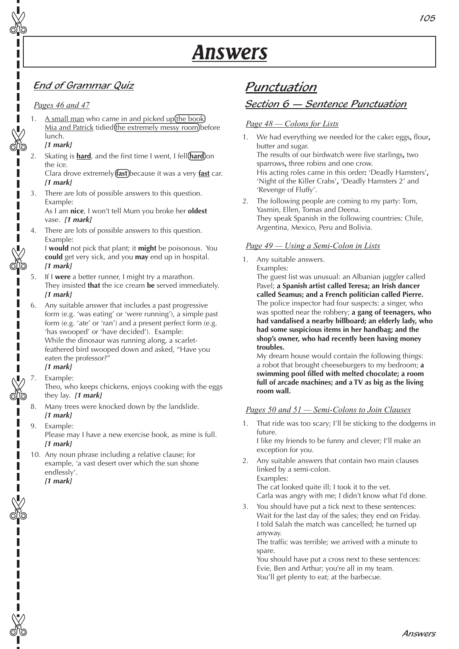# End of Grammar Quiz

### *Pages 46 and 47*

A small man who came in and picked up (the book) Mia and Patrick tidied (the extremely messy room) before lunch.

### *[1 mark]*

✄

✄

✄

П п

✄

✄

П T

✄

2. Skating is **hard**, and the first time I went, I fell (**hard**) on the ice.

Clara drove extremely **fast** because it was a very **fast** car. *[1 mark]*

3. There are lots of possible answers to this question. Example:

As I am **nice**, I won't tell Mum you broke her **oldest** vase. *[1 mark]*

4. There are lots of possible answers to this question. Example:

I **would** not pick that plant; it **might** be poisonous. You **could** get very sick, and you **may** end up in hospital. *[1 mark]*

- 5. If I **were** a better runner, I might try a marathon. They insisted **that** the ice cream **be** served immediately. *[1 mark]*
- 6. Any suitable answer that includes a past progressive form (e.g. 'was eating' or 'were running'), a simple past form (e.g. 'ate' or 'ran') and a present perfect form (e.g. 'has swooped' or 'have decided'). Example: While the dinosaur was running along, a scarletfeathered bird swooped down and asked, "Have you eaten the professor?" *[1 mark]*

Example:

Theo, who keeps chickens, enjoys cooking with the eggs they lay. *[1 mark]*

8. Many trees were knocked down by the landslide. *[1 mark]*

9. Example:

Please may I have a new exercise book, as mine is full. *[1 mark]*

10. Any noun phrase including a relative clause; for example, 'a vast desert over which the sun shone endlessly'. *[1 mark]*

# Punctuation

### Section 6 - Sentence Punctuation

### *Page 48 — Colons for Lists*

- 1. We had everything we needed for the cake**:** eggs**,** flour**,** butter and sugar. The results of our birdwatch were five starlings**,** two sparrows**,** three robins and one crow. His acting roles came in this order**:** 'Deadly Hamsters'**,** 'Night of the Killer Crabs'**,** 'Deadly Hamsters 2' and 'Revenge of Fluffy'.
- 2. The following people are coming to my party: Tom, Yasmin, Ellen, Tomas and Deena. They speak Spanish in the following countries: Chile, Argentina, Mexico, Peru and Bolivia.

### *Page 49 — Using a Semi-Colon in Lists*

1. Any suitable answers.

Examples: The guest list was unusual: an Albanian juggler called Pavel; **a Spanish artist called Teresa; an Irish dancer called Seamus; and a French politician called Pierre.** The police inspector had four suspects: a singer, who was spotted near the robbery; **a gang of teenagers, who had vandalised a nearby billboard; an elderly lady, who had some suspicious items in her handbag; and the shop's owner, who had recently been having money troubles.**

My dream house would contain the following things: a robot that brought cheeseburgers to my bedroom; **a swimming pool filled with melted chocolate; a room full of arcade machines; and a TV as big as the living room wall.**

### *Pages 50 and 51 — Semi-Colons to Join Clauses*

1. That ride was too scary; I'll be sticking to the dodgems in future.

I like my friends to be funny and clever; I'll make an exception for you.

- 2. Any suitable answers that contain two main clauses linked by a semi-colon. Examples: The cat looked quite ill; I took it to the vet. Carla was angry with me; I didn't know what I'd done.
- 3. You should have put a tick next to these sentences: Wait for the last day of the sales; they end on Friday. I told Salah the match was cancelled; he turned up anyway.

The traffic was terrible; we arrived with a minute to spare.

You should have put a cross next to these sentences: Evie, Ben and Arthur; you're all in my team. You'll get plenty to eat; at the barbecue.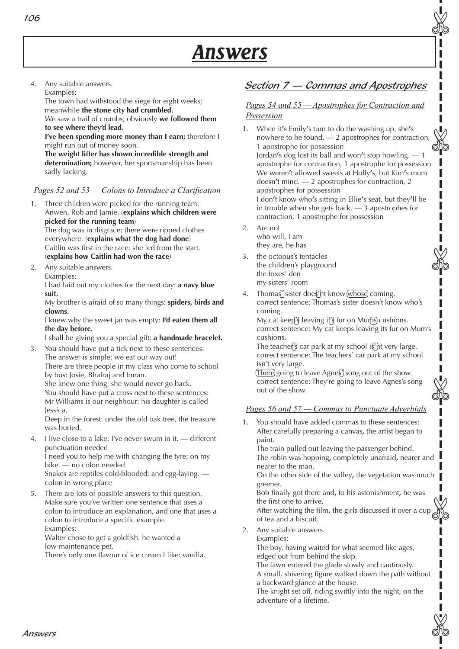4. Any suitable answers.

Examples: The town had withstood the siege for eight weeks; meanwhile **the stone city had crumbled.** We saw a trail of crumbs; obviously **we followed them to see where they'd lead. I've been spending more money than I earn;** therefore I might run out of money soon. **The weight lifter has shown incredible strength and determination;** however, her sportsmanship has been sadly lacking.

### *Pages 52 and 53 — Colons to Introduce a Clarification*

1. Three children were picked for the running team: Anwen, Rob and Jamie. (**explains which children were picked for the running team**)

The dog was in disgrace: there were ripped clothes everywhere. (**explains what the dog had done**) Caitlin was first in the race: she led from the start. (**explains how Caitlin had won the race**)

2. Any suitable answers.

Examples: I had laid out my clothes for the next day: **a navy blue suit.**

My brother is afraid of so many things: **spiders, birds and clowns.**

I knew why the sweet jar was empty: **I'd eaten them all the day before.**

I shall be giving you a special gift: **a handmade bracelet.**

3. You should have put a tick next to these sentences: The answer is simple: we eat our way out! There are three people in my class who come to school by bus: Josie, Bhalraj and Imran. She knew one thing: she would never go back. You should have put a cross next to these sentences: Mr Williams is our neighbour: his daughter is called

Jessica. Deep in the forest: under the old oak tree, the treasure was buried.

4. I live close to a lake: I've never swum in it. — different punctuation needed I need you to help me with changing the tyre: on my bike. — no colon needed Snakes are reptiles cold-blooded: and egg-laying. —

colon in wrong place

5. There are lots of possible answers to this question. Make sure you've written one sentence that uses a colon to introduce an explanation, and one that uses a colon to introduce a specific example. Examples:

Walter chose to get a goldfish: he wanted a

low-maintenance pet.

There's only one flavour of ice cream I like: vanilla.

## Section 7 - Commas and Apostrophes

### *Pages 54 and 55 — Apostrophes for Contraction and Possession*

- 1. When it**'**s Emily**'**s turn to do the washing up, she**'**s nowhere to be found. — 2 apostrophes for contraction, 1 apostrophe for possession Jordan**'**s dog lost its ball and won**'**t stop howling. — 1 apostrophe for contraction, 1 apostrophe for possession We weren**'**t allowed sweets at Holly**'**s, but Kim**'**s mum doesn**'**t mind. — 2 apostrophes for contraction, 2 apostrophes for possession I don**'**t know who**'**s sitting in Ellie**'**s seat, but they**'**ll be in trouble when she gets back. — 3 apostrophes for contraction, 1 apostrophe for possession 2. Are not ✄
- who will, I am they are, he has
- 3. the octopus's tentacles the children's playground the foxes' den my sisters' room
- 4. Thomas<sup>7</sup> sister does<sup>7</sup> ht know whose coming. correct sentence: Thomas's sister doesn't know who's coming.

My cat keep's leaving it's fur on Mums cushions. correct sentence: My cat keeps leaving its fur on Mum's cushions.

✄

✄

✄

✄

The teacher's car park at my school is the very large. correct sentence: The teachers' car park at my school isn't very large.

There going to leave Agnes' song out of the show. correct sentence: They're going to leave Agnes's song out of the show.

### *Pages 56 and 57 — Commas to Punctuate Adverbials*

You should have added commas to these sentences: After carefully preparing a canvas**,** the artist began to paint.

The train pulled out leaving the passenger behind. The robin was hopping**,** completely unafraid**,** nearer and nearer to the man.

On the other side of the valley**,** the vegetation was much greener.

Bob finally got there and**,** to his astonishment**,** he was the first one to arrive.

After watching the film**,** the girls discussed it over a cup of tea and a biscuit. ✄

- 2. Any suitable answers.
	- Examples:

The boy, having waited for what seemed like ages, edged out from behind the skip.

The fawn entered the glade slowly and cautiously.

A small, shivering figure walked down the path without a backward glance at the house.

The knight set off, riding swiftly into the night, on the adventure of a lifetime.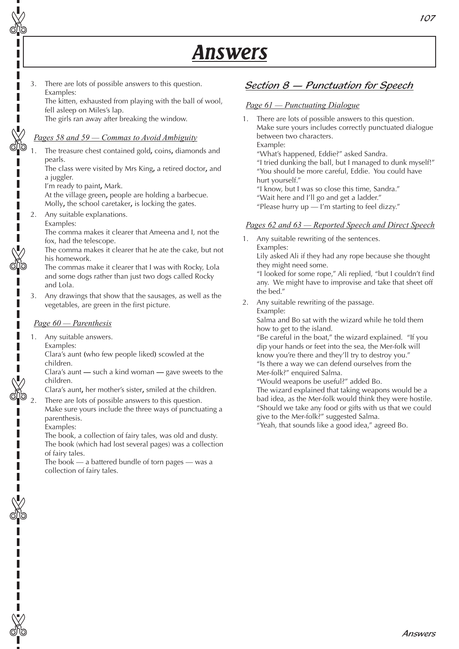3. There are lots of possible answers to this question. Examples:

The kitten, exhausted from playing with the ball of wool, fell asleep on Miles's lap.

The girls ran away after breaking the window.

### *Pages 58 and 59 — Commas to Avoid Ambiguity*

1. The treasure chest contained gold**,** coins**,** diamonds and pearls.

The class were visited by Mrs King**,** a retired doctor**,** and a juggler.

I'm ready to paint**,** Mark.

At the village green**,** people are holding a barbecue. Molly**,** the school caretaker**,** is locking the gates.

2. Any suitable explanations.

✄

✄

✄

П T

✄

П  $\mathbb{I}$ 

✄

׀<br>׀

✄

Examples: The comma makes it clearer that Ameena and I, not the fox, had the telescope.

The comma makes it clearer that he ate the cake, but not his homework.

The commas make it clearer that I was with Rocky, Lola and some dogs rather than just two dogs called Rocky and Lola.

Any drawings that show that the sausages, as well as the vegetables, are green in the first picture.

### *Page 60 — Parenthesis*

1. Any suitable answers. Examples:

Clara's aunt **(**who few people liked**)** scowled at the children.

Clara's aunt **—** such a kind woman **—** gave sweets to the children.

Clara's aunt**,** her mother's sister**,** smiled at the children.

There are lots of possible answers to this question. Make sure yours include the three ways of punctuating a parenthesis.

Examples:

The book, a collection of fairy tales, was old and dusty. The book (which had lost several pages) was a collection of fairy tales.

The book — a battered bundle of torn pages — was a collection of fairy tales.

### Section 8 — Punctuation for Speech

### *Page 61 — Punctuating Dialogue*

1. There are lots of possible answers to this question. Make sure yours includes correctly punctuated dialogue between two characters. Example: "What's happened, Eddie?" asked Sandra. "I tried dunking the ball, but I managed to dunk myself!" "You should be more careful, Eddie. You could have hurt yourself."

"I know, but I was so close this time, Sandra."

"Wait here and I'll go and get a ladder."

"Please hurry up — I'm starting to feel dizzy."

### *Pages 62 and 63 — Reported Speech and Direct Speech*

1. Any suitable rewriting of the sentences. Examples: Lily asked Ali if they had any rope because she thought they might need some. "I looked for some rope," Ali replied, "but I couldn't find any. We might have to improvise and take that sheet off the bed."

2. Any suitable rewriting of the passage.

Example: Salma and Bo sat with the wizard while he told them how to get to the island.

"Be careful in the boat," the wizard explained. "If you dip your hands or feet into the sea, the Mer-folk will know you're there and they'll try to destroy you." "Is there a way we can defend ourselves from the Mer-folk?" enquired Salma.

"Would weapons be useful?" added Bo.

The wizard explained that taking weapons would be a bad idea, as the Mer-folk would think they were hostile. "Should we take any food or gifts with us that we could give to the Mer-folk?" suggested Salma.

"Yeah, that sounds like a good idea," agreed Bo.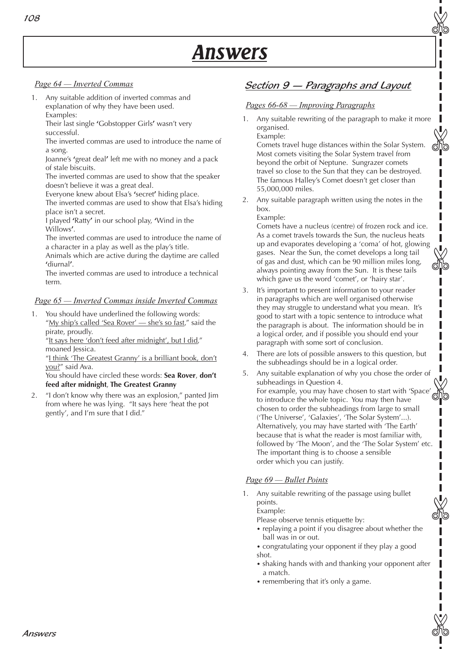### *Page 64 — Inverted Commas*

1. Any suitable addition of inverted commas and explanation of why they have been used. Examples:

Their last single **'**Gobstopper Girls**'** wasn't very successful.

The inverted commas are used to introduce the name of a song.

Joanne's **'**great deal**'** left me with no money and a pack of stale biscuits.

The inverted commas are used to show that the speaker doesn't believe it was a great deal.

Everyone knew about Elsa's **'**secret**'** hiding place.

The inverted commas are used to show that Elsa's hiding place isn't a secret.

I played **'**Ratty**'** in our school play, **'**Wind in the Willows**'**.

The inverted commas are used to introduce the name of a character in a play as well as the play's title.

Animals which are active during the daytime are called **'**diurnal**'**.

The inverted commas are used to introduce a technical term.

### *Page 65 — Inverted Commas inside Inverted Commas*

1. You should have underlined the following words: "My ship's called 'Sea Rover' — she's so fast," said the pirate, proudly.

"It says here 'don't feed after midnight', but I did," moaned Jessica.

"I think 'The Greatest Granny' is a brilliant book, don't you?" said Ava.

You should have circled these words: **Sea Rover**, **don't feed after midnight**, **The Greatest Granny**

2. "I don't know why there was an explosion," panted Jim from where he was lying. "It says here 'heat the pot gently', and I'm sure that I did."

### Section 9 — Paragraphs and Layout

### *Pages 66-68 — Improving Paragraphs*

1. Any suitable rewriting of the paragraph to make it more organised. ✄

Example: Comets travel huge distances within the Solar System. Most comets visiting the Solar System travel from beyond the orbit of Neptune. Sungrazer comets travel so close to the Sun that they can be destroyed. The famous Halley's Comet doesn't get closer than 55,000,000 miles.

2. Any suitable paragraph written using the notes in the box.

Example:

Comets have a nucleus (centre) of frozen rock and ice. As a comet travels towards the Sun, the nucleus heats up and evaporates developing a 'coma' of hot, glowing gases. Near the Sun, the comet develops a long tail of gas and dust, which can be 90 million miles long, always pointing away from the Sun. It is these tails which gave us the word 'comet', or 'hairy star'. ✄

- 3. It's important to present information to your reader in paragraphs which are well organised otherwise they may struggle to understand what you mean. It's good to start with a topic sentence to introduce what the paragraph is about. The information should be in a logical order, and if possible you should end your paragraph with some sort of conclusion.
- 4. There are lots of possible answers to this question, but the subheadings should be in a logical order.
- 5. Any suitable explanation of why you chose the order of subheadings in Question 4. For example, you may have chosen to start with 'Space' to introduce the whole topic. You may then have chosen to order the subheadings from large to small ('The Universe', 'Galaxies', 'The Solar System'...). Alternatively, you may have started with 'The Earth' because that is what the reader is most familiar with, followed by 'The Moon', and the 'The Solar System' etc. The important thing is to choose a sensible order which you can justify. ✄

### *Page 69 — Bullet Points*

1. Any suitable rewriting of the passage using bullet points.

Example:

- Please observe tennis etiquette by:
- replaying a point if you disagree about whether the ball was in or out.

✄

 $\overline{\phantom{a}}$ I

П П

✄

✄

- congratulating your opponent if they play a good shot.
- shaking hands with and thanking your opponent after a match.
- remembering that it's only a game.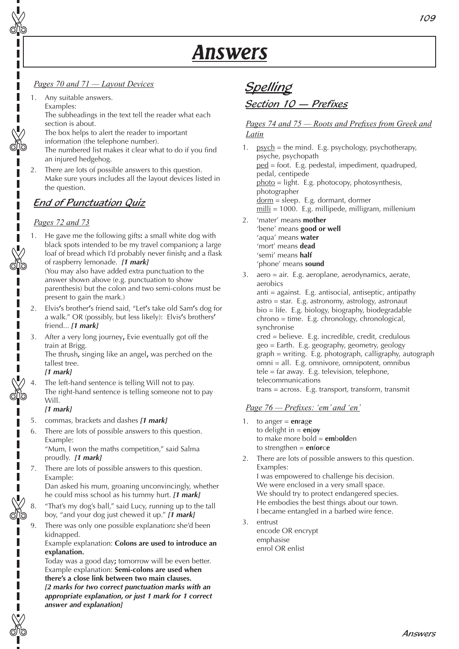### *Pages 70 and 71 — Layout Devices*

Any suitable answers. Examples: The subheadings in the text tell the reader what each section is about.

The box helps to alert the reader to important

information (the telephone number).

The numbered list makes it clear what to do if you find an injured hedgehog.

There are lots of possible answers to this question. Make sure yours includes all the layout devices listed in the question.

### End of Punctuation Quiz

### *Pages 72 and 73*

✄

✄

✄

L

✄

Π T Î

✄

1. He gave me the following gifts**:** a small white dog with black spots intended to be my travel companion**;** a large loaf of bread which I'd probably never finish**;** and a flask of raspberry lemonade. *[1 mark]*

(You may also have added extra punctuation to the answer shown above (e.g. punctuation to show parenthesis) but the colon and two semi-colons must be present to gain the mark.)

- 2. Elvis**'**s brother**'**s friend said, "Let**'**s take old Sam**'**s dog for a walk." OR (possibly, but less likely): Elvis**'**s brothers**'** friend... *[1 mark]*
- 3. After a very long journey**,** Evie eventually got off the train at Brigg.

The thrush**,** singing like an angel**,** was perched on the tallest tree.

*[1 mark]*

The left-hand sentence is telling Will not to pay. The right-hand sentence is telling someone not to pay Will. ✄

### *[1 mark]*

- 5. commas, brackets and dashes *[1 mark]*
- 6. There are lots of possible answers to this question. Example:

"Mum, I won the maths competition," said Salma proudly. *[1 mark]*

7. There are lots of possible answers to this question. Example:

Dan asked his mum, groaning unconvincingly, whether he could miss school as his tummy hurt. *[1 mark]*

- 8. "That's my dog's ball," said Lucy, running up to the tall boy, "and your dog just chewed it up." *[1 mark]*
- 9. There was only one possible explanation**:** she'd been kidnapped.

Example explanation: **Colons are used to introduce an explanation.**

Today was a good day**;** tomorrow will be even better. Example explanation: **Semi-colons are used when there's a close link between two main clauses.** *[2 marks for two correct punctuation marks with an appropriate explanation, or just 1 mark for 1 correct answer and explanation]*

# Spelling Section 10 — Prefixes

### *Pages 74 and 75 — Roots and Prefixes from Greek and Latin*

- 1.  $psych = the mind. E.g. psychology, psychology,$ psyche, psychopath ped = foot. E.g. pedestal, impediment, quadruped, pedal, centipede  $photo = light. E.g. photocopy, photosynthesis,$ photographer  $dorm = sleep.$  E.g. dormant, dormer  $m:III = 1000$ . E.g. millipede, milligram, millenium
- 2. 'mater' means **mother** 'bene' means **good or well** 'aqua' means **water** 'mort' means **dead** 'semi' means **half** 'phone' means **sound**
- 3. aero = air. E.g. aeroplane, aerodynamics, aerate, aerobics anti = against. E.g. antisocial, antiseptic, antipathy astro = star. E.g. astronomy, astrology, astronaut bio = life. E.g. biology, biography, biodegradable chrono = time. E.g. chronology, chronological, synchronise cred = believe. E.g. incredible, credit, credulous geo = Earth. E.g. geography, geometry, geology graph = writing. E.g. photograph, calligraphy, autograph omni = all. E.g. omnivore, omnipotent, omnibus tele = far away. E.g. television, telephone, telecommunications trans = across. E.g. transport, transform, transmit

### *Page 76 — Prefixes: 'em' and 'en'*

- 1. to anger  $=$  **enrage** to delight in = **en**j**oy** to make more bold = **em**b**old**en to strengthen = **en**f**or**c**e**
- 2. There are lots of possible answers to this question. Examples: I was empowered to challenge his decision. We were enclosed in a very small space. We should try to protect endangered species. He embodies the best things about our town. I became entangled in a barbed wire fence.
- 3. entrust

encode OR encrypt emphasise enrol OR enlist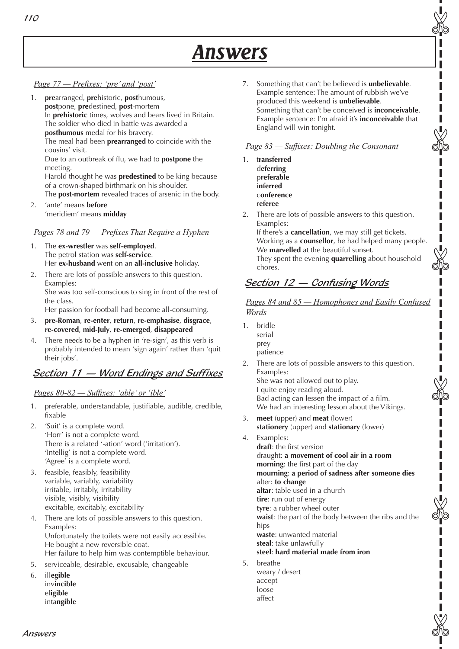### *Page 77 — Prefixes: 'pre' and 'post'*

- 1. **pre**arranged, **pre**historic, **post**humous, **post**pone, **pre**destined, **post**-mortem In **prehistoric** times, wolves and bears lived in Britain. The soldier who died in battle was awarded a **posthumous** medal for his bravery. The meal had been **prearranged** to coincide with the cousins' visit. Due to an outbreak of flu, we had to **postpone** the meeting. Harold thought he was **predestined** to be king because of a crown-shaped birthmark on his shoulder. The **post-mortem** revealed traces of arsenic in the body.
- 2. 'ante' means **before** 'meridiem' means **midday**

### *Pages 78 and 79 — Prefixes That Require a Hyphen*

- 1. The **ex-wrestler** was **self-employed**. The petrol station was **self-service**. Her **ex-husband** went on an **all-inclusive** holiday.
- 2. There are lots of possible answers to this question. Examples: She was too self-conscious to sing in front of the rest of the class.

Her passion for football had become all-consuming.

- 3. **pre-Roman**, **re-enter**, **return**, **re-emphasise**, **disgrace**, **re-covered**, **mid-July**, **re-emerged**, **disappeared**
- 4. There needs to be a hyphen in 're-sign', as this verb is probably intended to mean 'sign again' rather than 'quit their jobs'.

### Section 11 — Word Endings and Suffixes

### *Pages 80-82 — Suffixes: 'able' or 'ible'*

- 1. preferable, understandable, justifiable, audible, credible, fixable
- 2. 'Suit' is a complete word. 'Horr' is not a complete word. There is a related '-ation' word ('irritation'). 'Intellig' is not a complete word. 'Agree' is a complete word.
- 3. feasible, feasibly, feasibility variable, variably, variability irritable, irritably, irritability visible, visibly, visibility excitable, excitably, excitability
- 4. There are lots of possible answers to this question. Examples: Unfortunately the toilets were not easily accessible. He bought a new reversible coat. Her failure to help him was contemptible behaviour.
- 5. serviceable, desirable, excusable, changeable
- 
- 6. ill**egible** inv**incible** el**igible** inta**ngible**

7. Something that can't be believed is **unbelievable**. Example sentence: The amount of rubbish we've produced this weekend is **unbelievable**. Something that can't be conceived is **inconceivable**. Example sentence: I'm afraid it's **inconceivable** that England will win tonight.

✄

✄

✄

✄

✄

✄

#### *Page 83 — Suffixes: Doubling the Consonant*

- 1. t**ransferred** d**eferring** p**referable** i**nferred** c**onference** r**eferee**
- 2. There are lots of possible answers to this question. Examples: If there's a **cancellation**, we may still get tickets.

Working as a **counsellor**, he had helped many people. We **marvelled** at the beautiful sunset. They spent the evening **quarrelling** about household chores.

### Section 12 — Confusing Words

### *Pages 84 and 85 — Homophones and Easily Confused Words*

- 1. bridle serial prey patience
- 2. There are lots of possible answers to this question. Examples: She was not allowed out to play. I quite enjoy reading aloud. Bad acting can lessen the impact of a film. We had an interesting lesson about the Vikings.
- 3. **meet** (upper) and **meat** (lower) **stationery** (upper) and **stationary** (lower)

4. Examples: **draft**: the first version draught: **a movement of cool air in a room morning**: the first part of the day **mourning**: **a period of sadness after someone dies** alter: **to change altar**: table used in a church **tire**: run out of energy **tyre**: a rubber wheel outer **waist**: the part of the body between the ribs and the hips **waste**: unwanted material **steal**: take unlawfully **steel**: **hard material made from iron** 5. breathe

weary / desert accept loose affect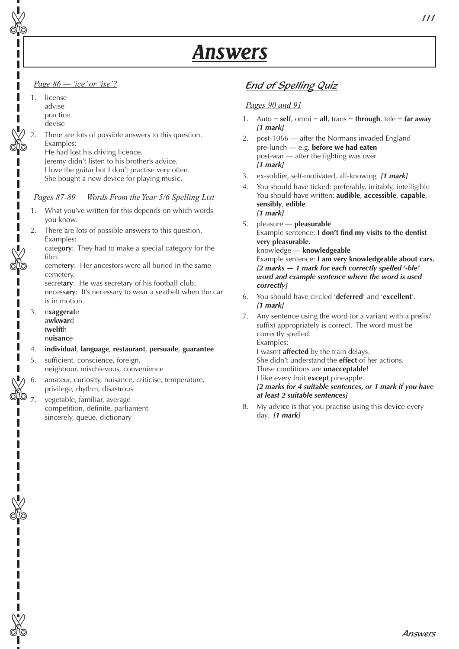### *Page 86 — 'ice' or 'ise'?*

1. license advise practice devise

्।<br>अ∈

 $\overline{\phantom{a}}$  $\overline{\phantom{a}}$ 

 $\overline{\phantom{a}}$ 

✄

✄

✄

✄

 $\overline{\phantom{a}}$ 

 $\overline{\phantom{a}}$ 

✄

There are lots of possible answers to this question. Examples:

He had lost his driving licence. Jeremy didn't listen to his brother's advice. I love the guitar but I don't practise very often. She bought a new device for playing music.

### *Pages 87-89 — Words From the Year 5/6 Spelling List*

- What you've written for this depends on which words you know.
- 2. There are lots of possible answers to this question. Examples:
	- categ**ory**: They had to make a special category for the film.

cemet**ery**: Her ancestors were all buried in the same cemetery.

secret**ary**: He was secretary of his football club. necess**ary**: It's necessary to wear a seatbelt when the car is in motion.

- 3. e**xaggerat**e a**wkwar**d t**welft**h n**uisanc**e
- 4. **individual**, **language**, **restaurant**, **persuade**, **guarantee**
- 5. sufficient, conscience, foreign, neighbour, mischievous, convenience
- amateur, curiosity, nuisance, criticise, temperature, privilege, rhythm, disastrous
- vegetable, familiar, average competition, definite, parliament sincerely, queue, dictionary

# End of Spelling Quiz

### *Pages 90 and 91*

- 1. Auto = **self**, omni = **all**, trans = **through**, tele = **far away** *[1 mark]*
- 2. post-1066 after the Normans invaded England pre-lunch — e.g. **before we had eaten** post-war — after the fighting was over *[1 mark]*
- 3. ex-soldier, self-motivated, all-knowing *[1 mark]*
- 4. You should have ticked: preferably, irritably, intelligible You should have written: **audible**, **accessible**, **capable**, **sensibly**, **edible** *[1 mark]*
- 5. pleasure **pleasurable** Example sentence: **I don't find my visits to the dentist very pleasurable.** knowledge — **knowledgeable** Example sentence: **I am very knowledgeable about cars.** *[2 marks — 1 mark for each correctly spelled '-ble' word and example sentence where the word is used correctly]*
- 6. You should have circled '**deferred**' and '**excellent**'. *[1 mark]*
- 7. Any sentence using the word (or a variant with a prefix/ suffix) appropriately is correct. The word must be correctly spelled. Examples: I wasn't **affected** by the train delays. She didn't understand the **effect** of her actions. These conditions are **unacceptable**! I like every fruit **except** pineapple. *[2 marks for 4 suitable sentences, or 1 mark if you have at least 2 suitable sentences]*
- 8. My advi**c**e is that you practi**s**e using this devi**c**e every day. *[1 mark]*